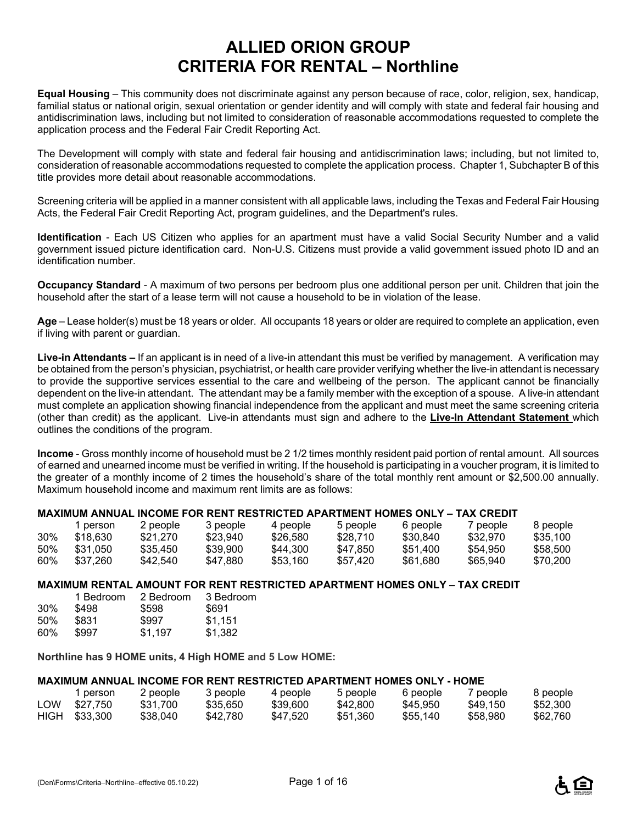# **ALLIED ORION GROUP CRITERIA FOR RENTAL – Northline**

**Equal Housing** – This community does not discriminate against any person because of race, color, religion, sex, handicap, familial status or national origin, sexual orientation or gender identity and will comply with state and federal fair housing and antidiscrimination laws, including but not limited to consideration of reasonable accommodations requested to complete the application process and the Federal Fair Credit Reporting Act.

The Development will comply with state and federal fair housing and antidiscrimination laws; including, but not limited to, consideration of reasonable accommodations requested to complete the application process. Chapter 1, Subchapter B of this title provides more detail about reasonable accommodations.

Screening criteria will be applied in a manner consistent with all applicable laws, including the Texas and Federal Fair Housing Acts, the Federal Fair Credit Reporting Act, program guidelines, and the Department's rules.

**Identification** - Each US Citizen who applies for an apartment must have a valid Social Security Number and a valid government issued picture identification card. Non-U.S. Citizens must provide a valid government issued photo ID and an identification number.

**Occupancy Standard** - A maximum of two persons per bedroom plus one additional person per unit. Children that join the household after the start of a lease term will not cause a household to be in violation of the lease.

**Age** – Lease holder(s) must be 18 years or older. All occupants 18 years or older are required to complete an application, even if living with parent or guardian.

**Live-in Attendants –** If an applicant is in need of a live-in attendant this must be verified by management. A verification may be obtained from the person's physician, psychiatrist, or health care provider verifying whether the live-in attendant is necessary to provide the supportive services essential to the care and wellbeing of the person. The applicant cannot be financially dependent on the live-in attendant. The attendant may be a family member with the exception of a spouse. A live-in attendant must complete an application showing financial independence from the applicant and must meet the same screening criteria (other than credit) as the applicant. Live-in attendants must sign and adhere to the **Live-In Attendant Statement** which outlines the conditions of the program.

**Income** - Gross monthly income of household must be 2 1/2 times monthly resident paid portion of rental amount. All sources of earned and unearned income must be verified in writing. If the household is participating in a voucher program, it is limited to the greater of a monthly income of 2 times the household's share of the total monthly rent amount or \$2,500.00 annually. Maximum household income and maximum rent limits are as follows:

#### **MAXIMUM ANNUAL INCOME FOR RENT RESTRICTED APARTMENT HOMES ONLY – TAX CREDIT**

|     | person   | 2 people | 3 people | 4 people | 5 people | 6 people | / people | 8 people |
|-----|----------|----------|----------|----------|----------|----------|----------|----------|
| 30% | \$18.630 | \$21.270 | \$23.940 | \$26,580 | \$28.710 | \$30.840 | \$32,970 | \$35,100 |
| 50% | \$31.050 | \$35.450 | \$39,900 | \$44.300 | \$47.850 | \$51.400 | \$54.950 | \$58,500 |
| 60% | \$37.260 | \$42.540 | \$47.880 | \$53.160 | \$57.420 | \$61.680 | \$65.940 | \$70.200 |

#### **MAXIMUM RENTAL AMOUNT FOR RENT RESTRICTED APARTMENT HOMES ONLY – TAX CREDIT**

|        | 1 Bedroom | 2 Bedroom | 3 Bedroom |
|--------|-----------|-----------|-----------|
| $30\%$ | \$498     | \$598     | \$691     |
| 50%    | \$831     | \$997     | \$1.151   |
| $60\%$ | \$997     | \$1.197   | \$1.382   |

**Northline has 9 HOME units, 4 High HOME and 5 Low HOME:**

#### **MAXIMUM ANNUAL INCOME FOR RENT RESTRICTED APARTMENT HOMES ONLY - HOME**

|      | person   | 2 people | 3 people | 4 people | 5 people | 6 people | 7 people | 8 people |
|------|----------|----------|----------|----------|----------|----------|----------|----------|
| LOW  | \$27.750 | \$31.700 | \$35,650 | \$39,600 | \$42,800 | \$45.950 | \$49.150 | \$52,300 |
| HIGH | \$33.300 | \$38,040 | \$42.780 | \$47.520 | \$51.360 | \$55,140 | \$58.980 | \$62,760 |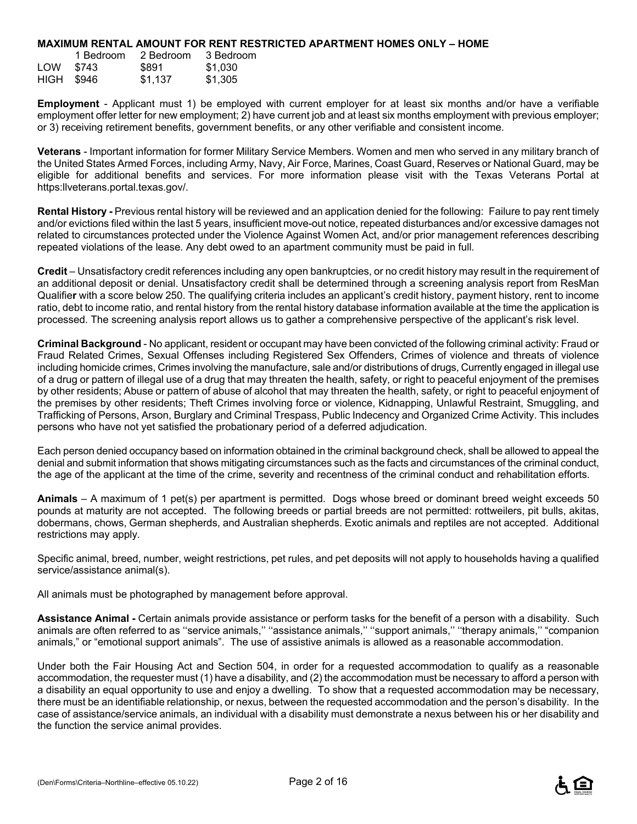#### **MAXIMUM RENTAL AMOUNT FOR RENT RESTRICTED APARTMENT HOMES ONLY – HOME**

|            | 1 Bedroom | 2 Bedroom | 3 Bedroom |
|------------|-----------|-----------|-----------|
| LOW        | \$743     | \$891     | \$1.030   |
| HIGH \$946 |           | \$1,137   | \$1,305   |

**Employment** - Applicant must 1) be employed with current employer for at least six months and/or have a verifiable employment offer letter for new employment; 2) have current job and at least six months employment with previous employer; or 3) receiving retirement benefits, government benefits, or any other verifiable and consistent income.

**Veterans** - Important information for former Military Service Members. Women and men who served in any military branch of the United States Armed Forces, including Army, Navy, Air Force, Marines, Coast Guard, Reserves or National Guard, may be eligible for additional benefits and services. For more information please visit with the Texas Veterans Portal at https:llveterans.portal.texas.gov/.

**Rental History -** Previous rental history will be reviewed and an application denied for the following: Failure to pay rent timely and/or evictions filed within the last 5 years, insufficient move-out notice, repeated disturbances and/or excessive damages not related to circumstances protected under the Violence Against Women Act, and/or prior management references describing repeated violations of the lease. Any debt owed to an apartment community must be paid in full.

**Credit** – Unsatisfactory credit references including any open bankruptcies, or no credit history may result in the requirement of an additional deposit or denial. Unsatisfactory credit shall be determined through a screening analysis report from ResMan Qualifie**r** with a score below 250. The qualifying criteria includes an applicant's credit history, payment history, rent to income ratio, debt to income ratio, and rental history from the rental history database information available at the time the application is processed. The screening analysis report allows us to gather a comprehensive perspective of the applicant's risk level.

**Criminal Background** - No applicant, resident or occupant may have been convicted of the following criminal activity: Fraud or Fraud Related Crimes, Sexual Offenses including Registered Sex Offenders, Crimes of violence and threats of violence including homicide crimes, Crimes involving the manufacture, sale and/or distributions of drugs, Currently engaged in illegal use of a drug or pattern of illegal use of a drug that may threaten the health, safety, or right to peaceful enjoyment of the premises by other residents; Abuse or pattern of abuse of alcohol that may threaten the health, safety, or right to peaceful enjoyment of the premises by other residents; Theft Crimes involving force or violence, Kidnapping, Unlawful Restraint, Smuggling, and Trafficking of Persons, Arson, Burglary and Criminal Trespass, Public Indecency and Organized Crime Activity. This includes persons who have not yet satisfied the probationary period of a deferred adjudication.

Each person denied occupancy based on information obtained in the criminal background check, shall be allowed to appeal the denial and submit information that shows mitigating circumstances such as the facts and circumstances of the criminal conduct, the age of the applicant at the time of the crime, severity and recentness of the criminal conduct and rehabilitation efforts.

**Animals** – A maximum of 1 pet(s) per apartment is permitted. Dogs whose breed or dominant breed weight exceeds 50 pounds at maturity are not accepted. The following breeds or partial breeds are not permitted: rottweilers, pit bulls, akitas, dobermans, chows, German shepherds, and Australian shepherds. Exotic animals and reptiles are not accepted. Additional restrictions may apply.

Specific animal, breed, number, weight restrictions, pet rules, and pet deposits will not apply to households having a qualified service/assistance animal(s).

All animals must be photographed by management before approval.

**Assistance Animal -** Certain animals provide assistance or perform tasks for the benefit of a person with a disability. Such animals are often referred to as ''service animals,'' ''assistance animals,'' ''support animals,'' ''therapy animals,'' "companion animals," or "emotional support animals". The use of assistive animals is allowed as a reasonable accommodation.

Under both the Fair Housing Act and Section 504, in order for a requested accommodation to qualify as a reasonable accommodation, the requester must (1) have a disability, and (2) the accommodation must be necessary to afford a person with a disability an equal opportunity to use and enjoy a dwelling. To show that a requested accommodation may be necessary, there must be an identifiable relationship, or nexus, between the requested accommodation and the person's disability. In the case of assistance/service animals, an individual with a disability must demonstrate a nexus between his or her disability and the function the service animal provides.

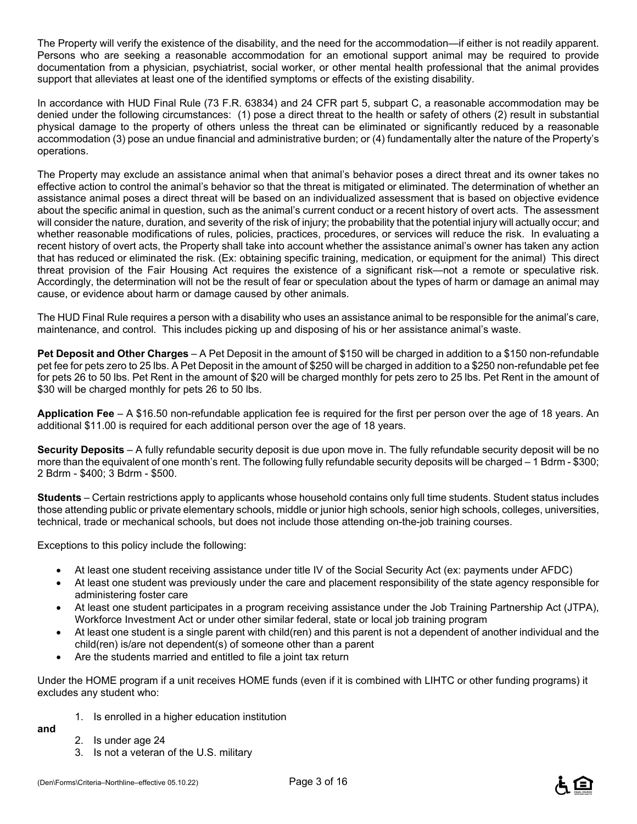The Property will verify the existence of the disability, and the need for the accommodation—if either is not readily apparent. Persons who are seeking a reasonable accommodation for an emotional support animal may be required to provide documentation from a physician, psychiatrist, social worker, or other mental health professional that the animal provides support that alleviates at least one of the identified symptoms or effects of the existing disability.

In accordance with HUD Final Rule (73 F.R. 63834) and 24 CFR part 5, subpart C, a reasonable accommodation may be denied under the following circumstances: (1) pose a direct threat to the health or safety of others (2) result in substantial physical damage to the property of others unless the threat can be eliminated or significantly reduced by a reasonable accommodation (3) pose an undue financial and administrative burden; or (4) fundamentally alter the nature of the Property's operations.

The Property may exclude an assistance animal when that animal's behavior poses a direct threat and its owner takes no effective action to control the animal's behavior so that the threat is mitigated or eliminated. The determination of whether an assistance animal poses a direct threat will be based on an individualized assessment that is based on objective evidence about the specific animal in question, such as the animal's current conduct or a recent history of overt acts. The assessment will consider the nature, duration, and severity of the risk of injury; the probability that the potential injury will actually occur; and whether reasonable modifications of rules, policies, practices, procedures, or services will reduce the risk. In evaluating a recent history of overt acts, the Property shall take into account whether the assistance animal's owner has taken any action that has reduced or eliminated the risk. (Ex: obtaining specific training, medication, or equipment for the animal) This direct threat provision of the Fair Housing Act requires the existence of a significant risk—not a remote or speculative risk. Accordingly, the determination will not be the result of fear or speculation about the types of harm or damage an animal may cause, or evidence about harm or damage caused by other animals.

The HUD Final Rule requires a person with a disability who uses an assistance animal to be responsible for the animal's care, maintenance, and control. This includes picking up and disposing of his or her assistance animal's waste.

**Pet Deposit and Other Charges** – A Pet Deposit in the amount of \$150 will be charged in addition to a \$150 non-refundable pet fee for pets zero to 25 lbs. A Pet Deposit in the amount of \$250 will be charged in addition to a \$250 non-refundable pet fee for pets 26 to 50 lbs. Pet Rent in the amount of \$20 will be charged monthly for pets zero to 25 lbs. Pet Rent in the amount of \$30 will be charged monthly for pets 26 to 50 lbs.

**Application Fee** – A \$16.50 non-refundable application fee is required for the first per person over the age of 18 years. An additional \$11.00 is required for each additional person over the age of 18 years.

**Security Deposits** – A fully refundable security deposit is due upon move in. The fully refundable security deposit will be no more than the equivalent of one month's rent. The following fully refundable security deposits will be charged – 1 Bdrm - \$300; 2 Bdrm - \$400; 3 Bdrm - \$500.

**Students** – Certain restrictions apply to applicants whose household contains only full time students. Student status includes those attending public or private elementary schools, middle or junior high schools, senior high schools, colleges, universities, technical, trade or mechanical schools, but does not include those attending on-the-job training courses.

Exceptions to this policy include the following:

- At least one student receiving assistance under title IV of the Social Security Act (ex: payments under AFDC)
- At least one student was previously under the care and placement responsibility of the state agency responsible for administering foster care
- At least one student participates in a program receiving assistance under the Job Training Partnership Act (JTPA), Workforce Investment Act or under other similar federal, state or local job training program
- At least one student is a single parent with child(ren) and this parent is not a dependent of another individual and the child(ren) is/are not dependent(s) of someone other than a parent
- Are the students married and entitled to file a joint tax return

Under the HOME program if a unit receives HOME funds (even if it is combined with LIHTC or other funding programs) it excludes any student who:

1. Is enrolled in a higher education institution

**and**

- 2. Is under age 24
- 3. Is not a veteran of the U.S. military

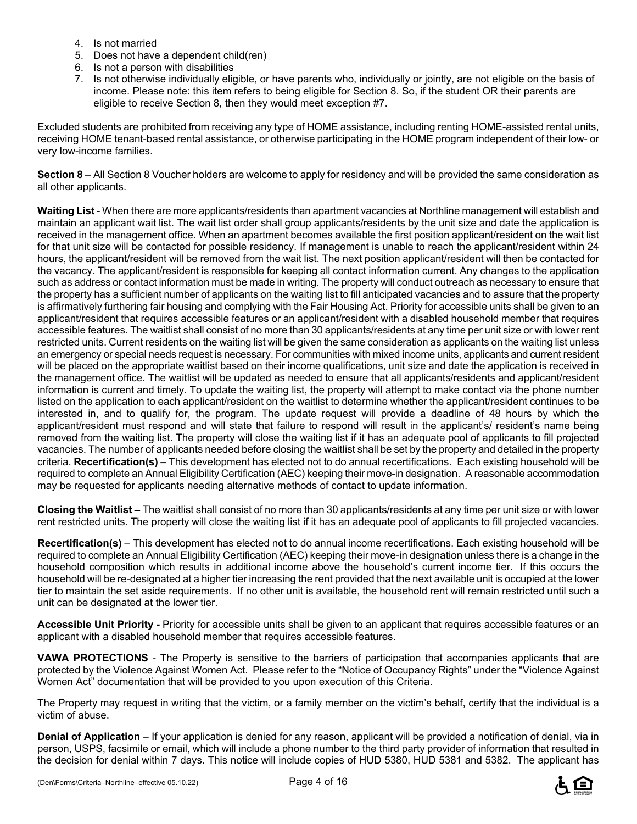- 4. Is not married
- 5. Does not have a dependent child(ren)
- 6. Is not a person with disabilities
- 7. Is not otherwise individually eligible, or have parents who, individually or jointly, are not eligible on the basis of income. Please note: this item refers to being eligible for Section 8. So, if the student OR their parents are eligible to receive Section 8, then they would meet exception #7.

Excluded students are prohibited from receiving any type of HOME assistance, including renting HOME-assisted rental units, receiving HOME tenant-based rental assistance, or otherwise participating in the HOME program independent of their low- or very low-income families.

**Section 8** – All Section 8 Voucher holders are welcome to apply for residency and will be provided the same consideration as all other applicants.

**Waiting List** - When there are more applicants/residents than apartment vacancies at Northline management will establish and maintain an applicant wait list. The wait list order shall group applicants/residents by the unit size and date the application is received in the management office. When an apartment becomes available the first position applicant/resident on the wait list for that unit size will be contacted for possible residency. If management is unable to reach the applicant/resident within 24 hours, the applicant/resident will be removed from the wait list. The next position applicant/resident will then be contacted for the vacancy. The applicant/resident is responsible for keeping all contact information current. Any changes to the application such as address or contact information must be made in writing. The property will conduct outreach as necessary to ensure that the property has a sufficient number of applicants on the waiting list to fill anticipated vacancies and to assure that the property is affirmatively furthering fair housing and complying with the Fair Housing Act. Priority for accessible units shall be given to an applicant/resident that requires accessible features or an applicant/resident with a disabled household member that requires accessible features. The waitlist shall consist of no more than 30 applicants/residents at any time per unit size or with lower rent restricted units. Current residents on the waiting list will be given the same consideration as applicants on the waiting list unless an emergency or special needs request is necessary. For communities with mixed income units, applicants and current resident will be placed on the appropriate waitlist based on their income qualifications, unit size and date the application is received in the management office. The waitlist will be updated as needed to ensure that all applicants/residents and applicant/resident information is current and timely. To update the waiting list, the property will attempt to make contact via the phone number listed on the application to each applicant/resident on the waitlist to determine whether the applicant/resident continues to be interested in, and to qualify for, the program. The update request will provide a deadline of 48 hours by which the applicant/resident must respond and will state that failure to respond will result in the applicant's/ resident's name being removed from the waiting list. The property will close the waiting list if it has an adequate pool of applicants to fill projected vacancies. The number of applicants needed before closing the waitlist shall be set by the property and detailed in the property criteria. **Recertification(s) –** This development has elected not to do annual recertifications. Each existing household will be required to complete an Annual Eligibility Certification (AEC) keeping their move-in designation. A reasonable accommodation may be requested for applicants needing alternative methods of contact to update information.

**Closing the Waitlist –** The waitlist shall consist of no more than 30 applicants/residents at any time per unit size or with lower rent restricted units. The property will close the waiting list if it has an adequate pool of applicants to fill projected vacancies.

**Recertification(s)** – This development has elected not to do annual income recertifications. Each existing household will be required to complete an Annual Eligibility Certification (AEC) keeping their move-in designation unless there is a change in the household composition which results in additional income above the household's current income tier. If this occurs the household will be re-designated at a higher tier increasing the rent provided that the next available unit is occupied at the lower tier to maintain the set aside requirements. If no other unit is available, the household rent will remain restricted until such a unit can be designated at the lower tier.

**Accessible Unit Priority -** Priority for accessible units shall be given to an applicant that requires accessible features or an applicant with a disabled household member that requires accessible features.

**VAWA PROTECTIONS** - The Property is sensitive to the barriers of participation that accompanies applicants that are protected by the Violence Against Women Act. Please refer to the "Notice of Occupancy Rights" under the "Violence Against Women Act" documentation that will be provided to you upon execution of this Criteria.

The Property may request in writing that the victim, or a family member on the victim's behalf, certify that the individual is a victim of abuse.

**Denial of Application** – If your application is denied for any reason, applicant will be provided a notification of denial, via in person, USPS, facsimile or email, which will include a phone number to the third party provider of information that resulted in the decision for denial within 7 days. This notice will include copies of HUD 5380, HUD 5381 and 5382. The applicant has

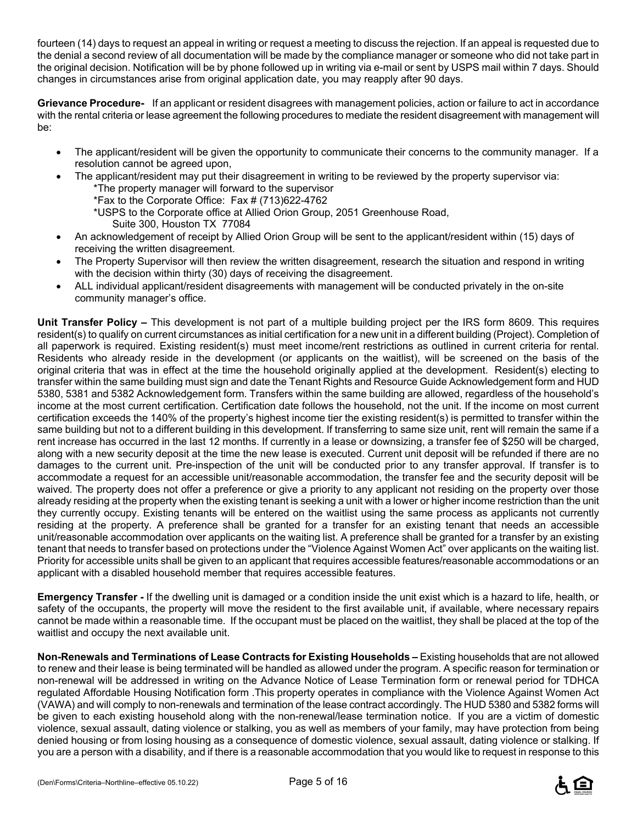fourteen (14) days to request an appeal in writing or request a meeting to discuss the rejection. If an appeal is requested due to the denial a second review of all documentation will be made by the compliance manager or someone who did not take part in the original decision. Notification will be by phone followed up in writing via e-mail or sent by USPS mail within 7 days. Should changes in circumstances arise from original application date, you may reapply after 90 days.

**Grievance Procedure-** If an applicant or resident disagrees with management policies, action or failure to act in accordance with the rental criteria or lease agreement the following procedures to mediate the resident disagreement with management will be:

- The applicant/resident will be given the opportunity to communicate their concerns to the community manager. If a resolution cannot be agreed upon,
- The applicant/resident may put their disagreement in writing to be reviewed by the property supervisor via: \*The property manager will forward to the supervisor
	- \*Fax to the Corporate Office: Fax # (713)622-4762
	- \*USPS to the Corporate office at Allied Orion Group, 2051 Greenhouse Road,
		- Suite 300, Houston TX 77084
- An acknowledgement of receipt by Allied Orion Group will be sent to the applicant/resident within (15) days of receiving the written disagreement.
- The Property Supervisor will then review the written disagreement, research the situation and respond in writing with the decision within thirty (30) days of receiving the disagreement.
- ALL individual applicant/resident disagreements with management will be conducted privately in the on-site community manager's office.

**Unit Transfer Policy –** This development is not part of a multiple building project per the IRS form 8609. This requires resident(s) to qualify on current circumstances as initial certification for a new unit in a different building (Project). Completion of all paperwork is required. Existing resident(s) must meet income/rent restrictions as outlined in current criteria for rental. Residents who already reside in the development (or applicants on the waitlist), will be screened on the basis of the original criteria that was in effect at the time the household originally applied at the development. Resident(s) electing to transfer within the same building must sign and date the Tenant Rights and Resource Guide Acknowledgement form and HUD 5380, 5381 and 5382 Acknowledgement form. Transfers within the same building are allowed, regardless of the household's income at the most current certification. Certification date follows the household, not the unit. If the income on most current certification exceeds the 140% of the property's highest income tier the existing resident(s) is permitted to transfer within the same building but not to a different building in this development. If transferring to same size unit, rent will remain the same if a rent increase has occurred in the last 12 months. If currently in a lease or downsizing, a transfer fee of \$250 will be charged, along with a new security deposit at the time the new lease is executed. Current unit deposit will be refunded if there are no damages to the current unit. Pre-inspection of the unit will be conducted prior to any transfer approval. If transfer is to accommodate a request for an accessible unit/reasonable accommodation, the transfer fee and the security deposit will be waived. The property does not offer a preference or give a priority to any applicant not residing on the property over those already residing at the property when the existing tenant is seeking a unit with a lower or higher income restriction than the unit they currently occupy. Existing tenants will be entered on the waitlist using the same process as applicants not currently residing at the property. A preference shall be granted for a transfer for an existing tenant that needs an accessible unit/reasonable accommodation over applicants on the waiting list. A preference shall be granted for a transfer by an existing tenant that needs to transfer based on protections under the "Violence Against Women Act" over applicants on the waiting list. Priority for accessible units shall be given to an applicant that requires accessible features/reasonable accommodations or an applicant with a disabled household member that requires accessible features.

**Emergency Transfer -** If the dwelling unit is damaged or a condition inside the unit exist which is a hazard to life, health, or safety of the occupants, the property will move the resident to the first available unit, if available, where necessary repairs cannot be made within a reasonable time. If the occupant must be placed on the waitlist, they shall be placed at the top of the waitlist and occupy the next available unit.

**Non-Renewals and Terminations of Lease Contracts for Existing Households –** Existing households that are not allowed to renew and their lease is being terminated will be handled as allowed under the program. A specific reason for termination or non-renewal will be addressed in writing on the Advance Notice of Lease Termination form or renewal period for TDHCA regulated Affordable Housing Notification form .This property operates in compliance with the Violence Against Women Act (VAWA) and will comply to non-renewals and termination of the lease contract accordingly. The HUD 5380 and 5382 forms will be given to each existing household along with the non-renewal/lease termination notice. If you are a victim of domestic violence, sexual assault, dating violence or stalking, you as well as members of your family, may have protection from being denied housing or from losing housing as a consequence of domestic violence, sexual assault, dating violence or stalking. If you are a person with a disability, and if there is a reasonable accommodation that you would like to request in response to this

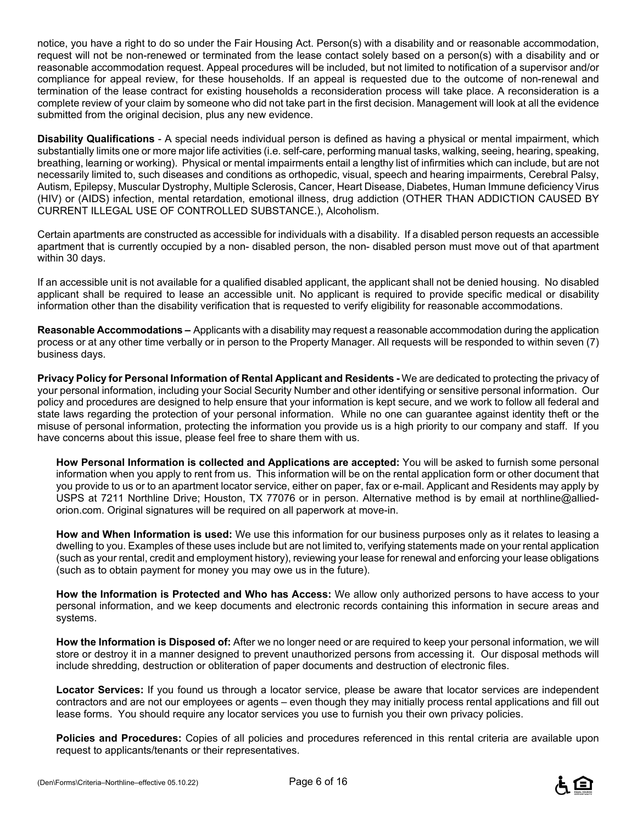notice, you have a right to do so under the Fair Housing Act. Person(s) with a disability and or reasonable accommodation, request will not be non-renewed or terminated from the lease contact solely based on a person(s) with a disability and or reasonable accommodation request. Appeal procedures will be included, but not limited to notification of a supervisor and/or compliance for appeal review, for these households. If an appeal is requested due to the outcome of non-renewal and termination of the lease contract for existing households a reconsideration process will take place. A reconsideration is a complete review of your claim by someone who did not take part in the first decision. Management will look at all the evidence submitted from the original decision, plus any new evidence.

**Disability Qualifications** - A special needs individual person is defined as having a physical or mental impairment, which substantially limits one or more major life activities (i.e. self-care, performing manual tasks, walking, seeing, hearing, speaking, breathing, learning or working). Physical or mental impairments entail a lengthy list of infirmities which can include, but are not necessarily limited to, such diseases and conditions as orthopedic, visual, speech and hearing impairments, Cerebral Palsy, Autism, Epilepsy, Muscular Dystrophy, Multiple Sclerosis, Cancer, Heart Disease, Diabetes, Human Immune deficiency Virus (HIV) or (AIDS) infection, mental retardation, emotional illness, drug addiction (OTHER THAN ADDICTION CAUSED BY CURRENT ILLEGAL USE OF CONTROLLED SUBSTANCE.), Alcoholism.

Certain apartments are constructed as accessible for individuals with a disability. If a disabled person requests an accessible apartment that is currently occupied by a non- disabled person, the non- disabled person must move out of that apartment within 30 days.

If an accessible unit is not available for a qualified disabled applicant, the applicant shall not be denied housing. No disabled applicant shall be required to lease an accessible unit. No applicant is required to provide specific medical or disability information other than the disability verification that is requested to verify eligibility for reasonable accommodations.

**Reasonable Accommodations –** Applicants with a disability may request a reasonable accommodation during the application process or at any other time verbally or in person to the Property Manager. All requests will be responded to within seven (7) business days.

**Privacy Policy for Personal Information of Rental Applicant and Residents -** We are dedicated to protecting the privacy of your personal information, including your Social Security Number and other identifying or sensitive personal information. Our policy and procedures are designed to help ensure that your information is kept secure, and we work to follow all federal and state laws regarding the protection of your personal information. While no one can guarantee against identity theft or the misuse of personal information, protecting the information you provide us is a high priority to our company and staff. If you have concerns about this issue, please feel free to share them with us.

**How Personal Information is collected and Applications are accepted:** You will be asked to furnish some personal information when you apply to rent from us. This information will be on the rental application form or other document that you provide to us or to an apartment locator service, either on paper, fax or e-mail. Applicant and Residents may apply by USPS at 7211 Northline Drive; Houston, TX 77076 or in person. Alternative method is by email at northline@alliedorion.com. Original signatures will be required on all paperwork at move-in.

**How and When Information is used:** We use this information for our business purposes only as it relates to leasing a dwelling to you. Examples of these uses include but are not limited to, verifying statements made on your rental application (such as your rental, credit and employment history), reviewing your lease for renewal and enforcing your lease obligations (such as to obtain payment for money you may owe us in the future).

**How the Information is Protected and Who has Access:** We allow only authorized persons to have access to your personal information, and we keep documents and electronic records containing this information in secure areas and systems.

**How the Information is Disposed of:** After we no longer need or are required to keep your personal information, we will store or destroy it in a manner designed to prevent unauthorized persons from accessing it. Our disposal methods will include shredding, destruction or obliteration of paper documents and destruction of electronic files.

**Locator Services:** If you found us through a locator service, please be aware that locator services are independent contractors and are not our employees or agents – even though they may initially process rental applications and fill out lease forms. You should require any locator services you use to furnish you their own privacy policies.

**Policies and Procedures:** Copies of all policies and procedures referenced in this rental criteria are available upon request to applicants/tenants or their representatives.

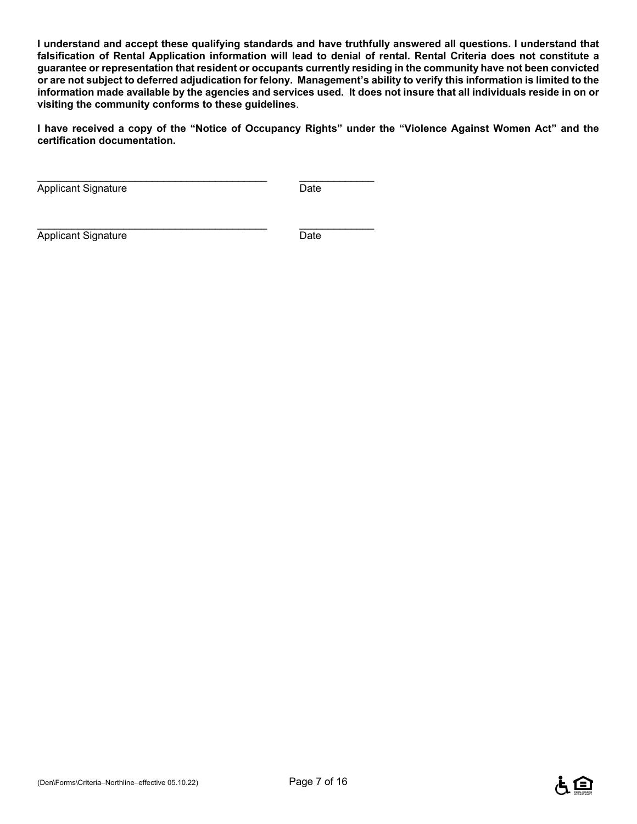**I understand and accept these qualifying standards and have truthfully answered all questions. I understand that falsification of Rental Application information will lead to denial of rental. Rental Criteria does not constitute a guarantee or representation that resident or occupants currently residing in the community have not been convicted or are not subject to deferred adjudication for felony. Management's ability to verify this information is limited to the information made available by the agencies and services used. It does not insure that all individuals reside in on or visiting the community conforms to these guidelines**.

**I have received a copy of the "Notice of Occupancy Rights" under the "Violence Against Women Act" and the certification documentation.** 

Applicant Signature Date

\_\_\_\_\_\_\_\_\_\_\_\_\_\_\_\_\_\_\_\_\_\_\_\_\_\_\_\_\_\_\_\_\_\_\_\_\_\_\_\_ \_\_\_\_\_\_\_\_\_\_\_\_\_

\_\_\_\_\_\_\_\_\_\_\_\_\_\_\_\_\_\_\_\_\_\_\_\_\_\_\_\_\_\_\_\_\_\_\_\_\_\_\_\_ \_\_\_\_\_\_\_\_\_\_\_\_\_

Applicant Signature Date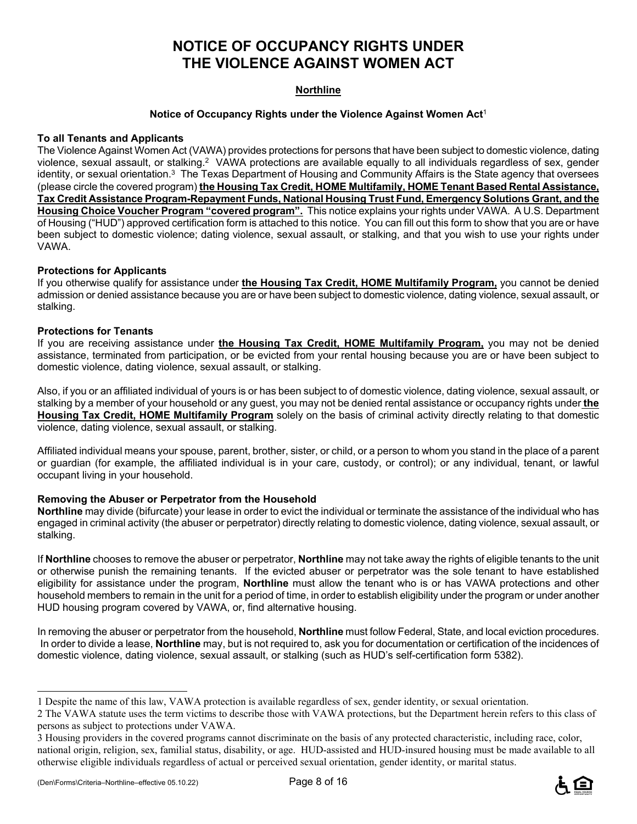## **NOTICE OF OCCUPANCY RIGHTS UNDER THE VIOLENCE AGAINST WOMEN ACT**

#### **Northline**

#### **Notice of Occupancy Rights under the Violence Against Women Act**<sup>1</sup>

#### **To all Tenants and Applicants**

The Violence Against Women Act (VAWA) provides protections for persons that have been subject to domestic violence, dating violence, sexual assault, or stalking.2 VAWA protections are available equally to all individuals regardless of sex, gender identity, or sexual orientation.<sup>3</sup> The Texas Department of Housing and Community Affairs is the State agency that oversees (please circle the covered program) **the Housing Tax Credit, HOME Multifamily, HOME Tenant Based Rental Assistance, Tax Credit Assistance Program-Repayment Funds, National Housing Trust Fund, Emergency Solutions Grant, and the Housing Choice Voucher Program "covered program".** This notice explains your rights under VAWA. A U.S. Department of Housing ("HUD") approved certification form is attached to this notice. You can fill out this form to show that you are or have been subject to domestic violence; dating violence, sexual assault, or stalking, and that you wish to use your rights under VAWA.

#### **Protections for Applicants**

If you otherwise qualify for assistance under **the Housing Tax Credit, HOME Multifamily Program,** you cannot be denied admission or denied assistance because you are or have been subject to domestic violence, dating violence, sexual assault, or stalking.

#### **Protections for Tenants**

If you are receiving assistance under **the Housing Tax Credit, HOME Multifamily Program,** you may not be denied assistance, terminated from participation, or be evicted from your rental housing because you are or have been subject to domestic violence, dating violence, sexual assault, or stalking.

Also, if you or an affiliated individual of yours is or has been subject to of domestic violence, dating violence, sexual assault, or stalking by a member of your household or any guest, you may not be denied rental assistance or occupancy rights under **the Housing Tax Credit, HOME Multifamily Program** solely on the basis of criminal activity directly relating to that domestic violence, dating violence, sexual assault, or stalking.

Affiliated individual means your spouse, parent, brother, sister, or child, or a person to whom you stand in the place of a parent or guardian (for example, the affiliated individual is in your care, custody, or control); or any individual, tenant, or lawful occupant living in your household.

#### **Removing the Abuser or Perpetrator from the Household**

**Northline** may divide (bifurcate) your lease in order to evict the individual or terminate the assistance of the individual who has engaged in criminal activity (the abuser or perpetrator) directly relating to domestic violence, dating violence, sexual assault, or stalking.

If **Northline** chooses to remove the abuser or perpetrator, **Northline** may not take away the rights of eligible tenants to the unit or otherwise punish the remaining tenants. If the evicted abuser or perpetrator was the sole tenant to have established eligibility for assistance under the program, **Northline** must allow the tenant who is or has VAWA protections and other household members to remain in the unit for a period of time, in order to establish eligibility under the program or under another HUD housing program covered by VAWA, or, find alternative housing.

In removing the abuser or perpetrator from the household, **Northline** must follow Federal, State, and local eviction procedures. In order to divide a lease, **Northline** may, but is not required to, ask you for documentation or certification of the incidences of domestic violence, dating violence, sexual assault, or stalking (such as HUD's self-certification form 5382).

i<br>L



<sup>1</sup> Despite the name of this law, VAWA protection is available regardless of sex, gender identity, or sexual orientation.

<sup>2</sup> The VAWA statute uses the term victims to describe those with VAWA protections, but the Department herein refers to this class of persons as subject to protections under VAWA.

<sup>3</sup> Housing providers in the covered programs cannot discriminate on the basis of any protected characteristic, including race, color, national origin, religion, sex, familial status, disability, or age. HUD-assisted and HUD-insured housing must be made available to all otherwise eligible individuals regardless of actual or perceived sexual orientation, gender identity, or marital status.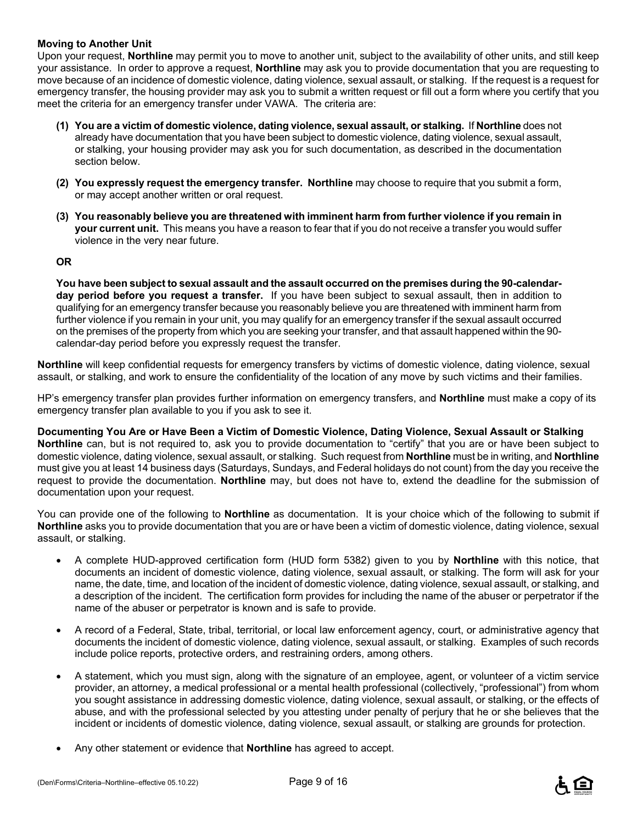#### **Moving to Another Unit**

Upon your request, **Northline** may permit you to move to another unit, subject to the availability of other units, and still keep your assistance. In order to approve a request, **Northline** may ask you to provide documentation that you are requesting to move because of an incidence of domestic violence, dating violence, sexual assault, or stalking. If the request is a request for emergency transfer, the housing provider may ask you to submit a written request or fill out a form where you certify that you meet the criteria for an emergency transfer under VAWA. The criteria are:

- **(1) You are a victim of domestic violence, dating violence, sexual assault, or stalking.** If **Northline** does not already have documentation that you have been subject to domestic violence, dating violence, sexual assault, or stalking, your housing provider may ask you for such documentation, as described in the documentation section below.
- **(2) You expressly request the emergency transfer. Northline** may choose to require that you submit a form, or may accept another written or oral request.
- **(3) You reasonably believe you are threatened with imminent harm from further violence if you remain in your current unit.** This means you have a reason to fear that if you do not receive a transfer you would suffer violence in the very near future.

#### **OR**

**You have been subject to sexual assault and the assault occurred on the premises during the 90-calendarday period before you request a transfer.** If you have been subject to sexual assault, then in addition to qualifying for an emergency transfer because you reasonably believe you are threatened with imminent harm from further violence if you remain in your unit, you may qualify for an emergency transfer if the sexual assault occurred on the premises of the property from which you are seeking your transfer, and that assault happened within the 90 calendar-day period before you expressly request the transfer.

**Northline** will keep confidential requests for emergency transfers by victims of domestic violence, dating violence, sexual assault, or stalking, and work to ensure the confidentiality of the location of any move by such victims and their families.

HP's emergency transfer plan provides further information on emergency transfers, and **Northline** must make a copy of its emergency transfer plan available to you if you ask to see it.

**Documenting You Are or Have Been a Victim of Domestic Violence, Dating Violence, Sexual Assault or Stalking Northline** can, but is not required to, ask you to provide documentation to "certify" that you are or have been subject to domestic violence, dating violence, sexual assault, or stalking. Such request from **Northline** must be in writing, and **Northline** must give you at least 14 business days (Saturdays, Sundays, and Federal holidays do not count) from the day you receive the request to provide the documentation. **Northline** may, but does not have to, extend the deadline for the submission of documentation upon your request.

You can provide one of the following to **Northline** as documentation. It is your choice which of the following to submit if **Northline** asks you to provide documentation that you are or have been a victim of domestic violence, dating violence, sexual assault, or stalking.

- A complete HUD-approved certification form (HUD form 5382) given to you by **Northline** with this notice, that documents an incident of domestic violence, dating violence, sexual assault, or stalking. The form will ask for your name, the date, time, and location of the incident of domestic violence, dating violence, sexual assault, or stalking, and a description of the incident. The certification form provides for including the name of the abuser or perpetrator if the name of the abuser or perpetrator is known and is safe to provide.
- A record of a Federal, State, tribal, territorial, or local law enforcement agency, court, or administrative agency that documents the incident of domestic violence, dating violence, sexual assault, or stalking. Examples of such records include police reports, protective orders, and restraining orders, among others.
- A statement, which you must sign, along with the signature of an employee, agent, or volunteer of a victim service provider, an attorney, a medical professional or a mental health professional (collectively, "professional") from whom you sought assistance in addressing domestic violence, dating violence, sexual assault, or stalking, or the effects of abuse, and with the professional selected by you attesting under penalty of perjury that he or she believes that the incident or incidents of domestic violence, dating violence, sexual assault, or stalking are grounds for protection.
- Any other statement or evidence that **Northline** has agreed to accept.

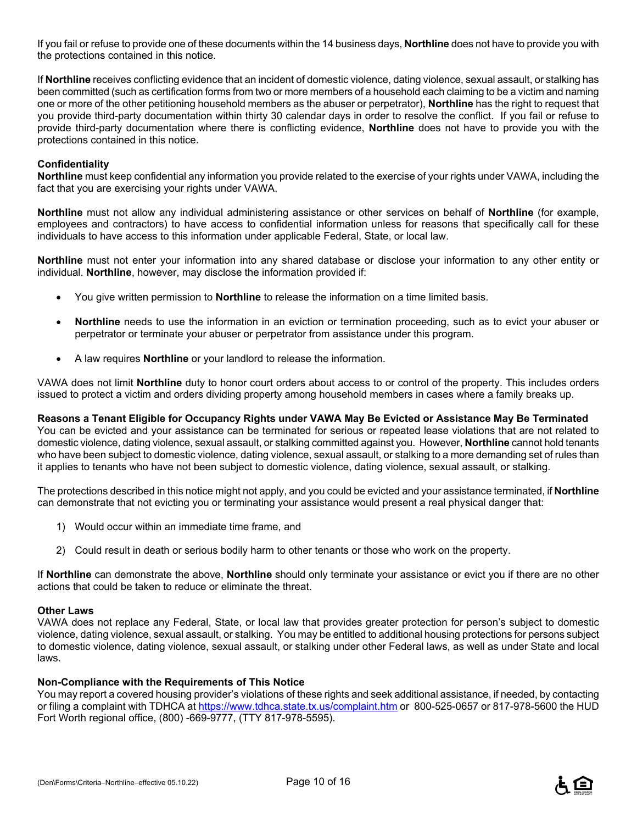If you fail or refuse to provide one of these documents within the 14 business days, **Northline** does not have to provide you with the protections contained in this notice.

If **Northline** receives conflicting evidence that an incident of domestic violence, dating violence, sexual assault, or stalking has been committed (such as certification forms from two or more members of a household each claiming to be a victim and naming one or more of the other petitioning household members as the abuser or perpetrator), **Northline** has the right to request that you provide third-party documentation within thirty 30 calendar days in order to resolve the conflict. If you fail or refuse to provide third-party documentation where there is conflicting evidence, **Northline** does not have to provide you with the protections contained in this notice.

#### **Confidentiality**

**Northline** must keep confidential any information you provide related to the exercise of your rights under VAWA, including the fact that you are exercising your rights under VAWA.

**Northline** must not allow any individual administering assistance or other services on behalf of **Northline** (for example, employees and contractors) to have access to confidential information unless for reasons that specifically call for these individuals to have access to this information under applicable Federal, State, or local law.

**Northline** must not enter your information into any shared database or disclose your information to any other entity or individual. **Northline**, however, may disclose the information provided if:

- You give written permission to **Northline** to release the information on a time limited basis.
- **Northline** needs to use the information in an eviction or termination proceeding, such as to evict your abuser or perpetrator or terminate your abuser or perpetrator from assistance under this program.
- A law requires **Northline** or your landlord to release the information.

VAWA does not limit **Northline** duty to honor court orders about access to or control of the property. This includes orders issued to protect a victim and orders dividing property among household members in cases where a family breaks up.

### **Reasons a Tenant Eligible for Occupancy Rights under VAWA May Be Evicted or Assistance May Be Terminated**

You can be evicted and your assistance can be terminated for serious or repeated lease violations that are not related to domestic violence, dating violence, sexual assault, or stalking committed against you. However, **Northline** cannot hold tenants who have been subject to domestic violence, dating violence, sexual assault, or stalking to a more demanding set of rules than it applies to tenants who have not been subject to domestic violence, dating violence, sexual assault, or stalking.

The protections described in this notice might not apply, and you could be evicted and your assistance terminated, if **Northline** can demonstrate that not evicting you or terminating your assistance would present a real physical danger that:

- 1) Would occur within an immediate time frame, and
- 2) Could result in death or serious bodily harm to other tenants or those who work on the property.

If **Northline** can demonstrate the above, **Northline** should only terminate your assistance or evict you if there are no other actions that could be taken to reduce or eliminate the threat.

#### **Other Laws**

VAWA does not replace any Federal, State, or local law that provides greater protection for person's subject to domestic violence, dating violence, sexual assault, or stalking. You may be entitled to additional housing protections for persons subject to domestic violence, dating violence, sexual assault, or stalking under other Federal laws, as well as under State and local laws.

#### **Non-Compliance with the Requirements of This Notice**

You may report a covered housing provider's violations of these rights and seek additional assistance, if needed, by contacting or filing a complaint with TDHCA at https://www.tdhca.state.tx.us/complaint.htm or 800-525-0657 or 817-978-5600 the HUD Fort Worth regional office, (800) -669-9777, (TTY 817-978-5595).

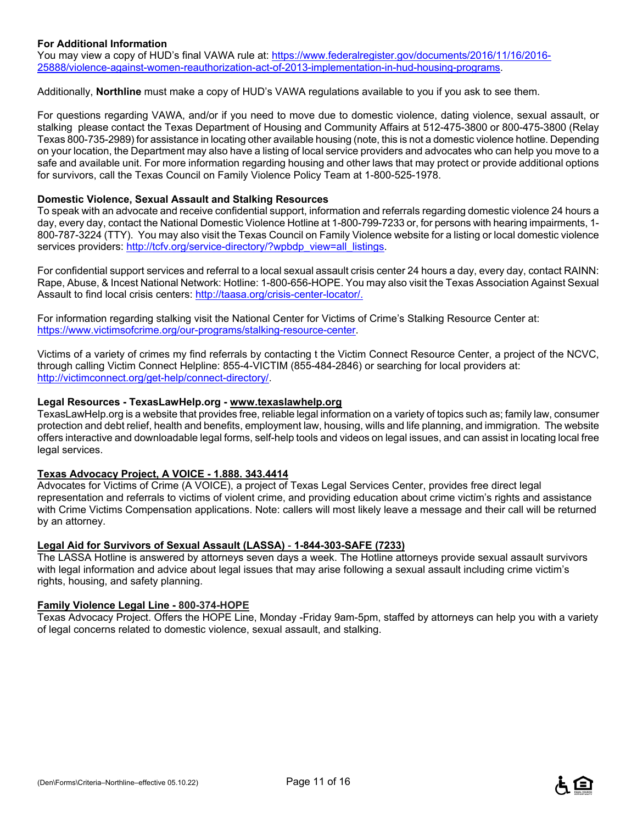#### **For Additional Information**

You may view a copy of HUD's final VAWA rule at: https://www.federalregister.gov/documents/2016/11/16/2016-25888/violence-against-women-reauthorization-act-of-2013-implementation-in-hud-housing-programs.

Additionally, **Northline** must make a copy of HUD's VAWA regulations available to you if you ask to see them.

For questions regarding VAWA, and/or if you need to move due to domestic violence, dating violence, sexual assault, or stalking please contact the Texas Department of Housing and Community Affairs at 512-475-3800 or 800-475-3800 (Relay Texas 800-735-2989) for assistance in locating other available housing (note, this is not a domestic violence hotline. Depending on your location, the Department may also have a listing of local service providers and advocates who can help you move to a safe and available unit. For more information regarding housing and other laws that may protect or provide additional options for survivors, call the Texas Council on Family Violence Policy Team at 1-800-525-1978.

#### **Domestic Violence, Sexual Assault and Stalking Resources**

To speak with an advocate and receive confidential support, information and referrals regarding domestic violence 24 hours a day, every day, contact the National Domestic Violence Hotline at 1-800-799-7233 or, for persons with hearing impairments, 1- 800-787-3224 (TTY). You may also visit the Texas Council on Family Violence website for a listing or local domestic violence services providers: http://tcfv.org/service-directory/?wpbdp\_view=all\_listings.

For confidential support services and referral to a local sexual assault crisis center 24 hours a day, every day, contact RAINN: Rape, Abuse, & Incest National Network: Hotline: 1-800-656-HOPE. You may also visit the Texas Association Against Sexual Assault to find local crisis centers: http://taasa.org/crisis-center-locator/.

For information regarding stalking visit the National Center for Victims of Crime's Stalking Resource Center at: https://www.victimsofcrime.org/our-programs/stalking-resource-center.

Victims of a variety of crimes my find referrals by contacting t the Victim Connect Resource Center, a project of the NCVC, through calling Victim Connect Helpline: 855-4-VICTIM (855-484-2846) or searching for local providers at: http://victimconnect.org/get-help/connect-directory/.

#### **Legal Resources - TexasLawHelp.org - www.texaslawhelp.org**

TexasLawHelp.org is a website that provides free, reliable legal information on a variety of topics such as; family law, consumer protection and debt relief, health and benefits, employment law, housing, wills and life planning, and immigration. The website offers interactive and downloadable legal forms, self-help tools and videos on legal issues, and can assist in locating local free legal services.

#### **Texas Advocacy Project, A VOICE - 1.888. 343.4414**

Advocates for Victims of Crime (A VOICE), a project of Texas Legal Services Center, provides free direct legal representation and referrals to victims of violent crime, and providing education about crime victim's rights and assistance with Crime Victims Compensation applications. Note: callers will most likely leave a message and their call will be returned by an attorney.

#### **Legal Aid for Survivors of Sexual Assault (LASSA)** - **1-844-303-SAFE (7233)**

The LASSA Hotline is answered by attorneys seven days a week. The Hotline attorneys provide sexual assault survivors with legal information and advice about legal issues that may arise following a sexual assault including crime victim's rights, housing, and safety planning.

#### **Family Violence Legal Line - 800-374-HOPE**

Texas Advocacy Project. Offers the HOPE Line, Monday -Friday 9am-5pm, staffed by attorneys can help you with a variety of legal concerns related to domestic violence, sexual assault, and stalking.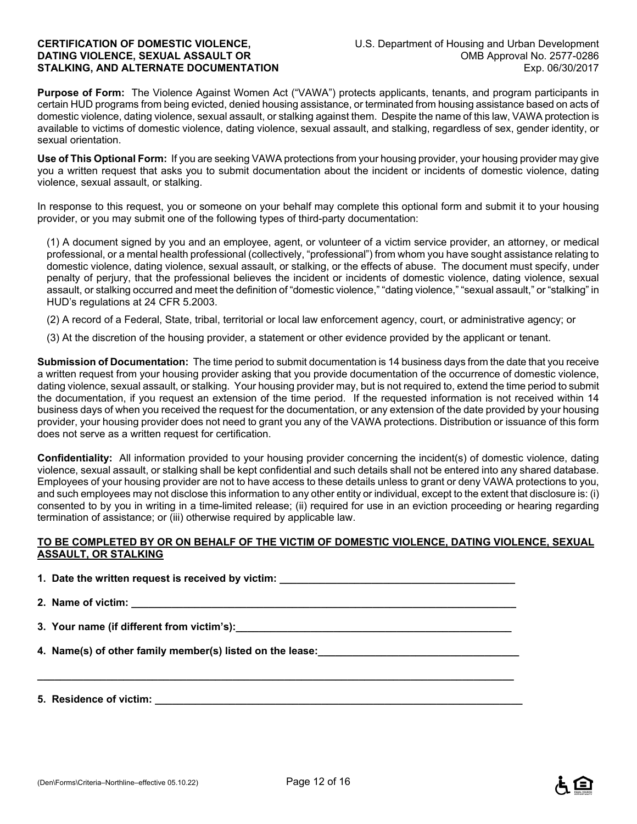**Purpose of Form:** The Violence Against Women Act ("VAWA") protects applicants, tenants, and program participants in certain HUD programs from being evicted, denied housing assistance, or terminated from housing assistance based on acts of domestic violence, dating violence, sexual assault, or stalking against them. Despite the name of this law, VAWA protection is available to victims of domestic violence, dating violence, sexual assault, and stalking, regardless of sex, gender identity, or sexual orientation.

**Use of This Optional Form:** If you are seeking VAWA protections from your housing provider, your housing provider may give you a written request that asks you to submit documentation about the incident or incidents of domestic violence, dating violence, sexual assault, or stalking.

In response to this request, you or someone on your behalf may complete this optional form and submit it to your housing provider, or you may submit one of the following types of third-party documentation:

(1) A document signed by you and an employee, agent, or volunteer of a victim service provider, an attorney, or medical professional, or a mental health professional (collectively, "professional") from whom you have sought assistance relating to domestic violence, dating violence, sexual assault, or stalking, or the effects of abuse. The document must specify, under penalty of perjury, that the professional believes the incident or incidents of domestic violence, dating violence, sexual assault, or stalking occurred and meet the definition of "domestic violence," "dating violence," "sexual assault," or "stalking" in HUD's regulations at 24 CFR 5.2003.

(2) A record of a Federal, State, tribal, territorial or local law enforcement agency, court, or administrative agency; or

(3) At the discretion of the housing provider, a statement or other evidence provided by the applicant or tenant.

**Submission of Documentation:** The time period to submit documentation is 14 business days from the date that you receive a written request from your housing provider asking that you provide documentation of the occurrence of domestic violence, dating violence, sexual assault, or stalking. Your housing provider may, but is not required to, extend the time period to submit the documentation, if you request an extension of the time period. If the requested information is not received within 14 business days of when you received the request for the documentation, or any extension of the date provided by your housing provider, your housing provider does not need to grant you any of the VAWA protections. Distribution or issuance of this form does not serve as a written request for certification.

**Confidentiality:** All information provided to your housing provider concerning the incident(s) of domestic violence, dating violence, sexual assault, or stalking shall be kept confidential and such details shall not be entered into any shared database. Employees of your housing provider are not to have access to these details unless to grant or deny VAWA protections to you, and such employees may not disclose this information to any other entity or individual, except to the extent that disclosure is: (i) consented to by you in writing in a time-limited release; (ii) required for use in an eviction proceeding or hearing regarding termination of assistance; or (iii) otherwise required by applicable law.

#### **TO BE COMPLETED BY OR ON BEHALF OF THE VICTIM OF DOMESTIC VIOLENCE, DATING VIOLENCE, SEXUAL ASSAULT, OR STALKING**

**1. Date the written request is received by victim: \_\_\_\_\_\_\_\_\_\_\_\_\_\_\_\_\_\_\_\_\_\_\_\_\_\_\_\_** 2. Name of victim:

**\_\_\_\_\_\_\_\_\_\_\_\_\_\_\_\_\_\_\_\_\_\_\_\_\_\_\_\_\_\_\_\_\_\_\_\_\_\_\_\_\_\_\_\_\_\_\_\_\_\_\_\_\_\_\_\_\_\_\_\_\_\_\_\_\_\_\_\_\_\_\_\_\_\_\_\_\_\_\_\_\_\_\_** 

**3. Your name (if different from victim's):\_\_\_\_\_\_\_\_\_\_\_\_\_\_\_\_\_\_\_\_\_\_\_\_\_\_\_\_\_\_\_\_\_\_\_\_\_\_\_\_\_\_\_\_\_\_\_\_** 

**4. Name(s) of other family member(s) listed on the lease:** 

**5. Residence of victim: \_\_\_\_\_\_\_\_\_\_\_\_\_\_\_\_\_\_\_\_\_\_\_\_\_\_\_\_\_\_\_\_\_\_\_\_\_\_\_\_\_\_\_\_\_\_\_\_\_\_\_\_\_\_\_\_\_\_\_\_\_\_\_\_**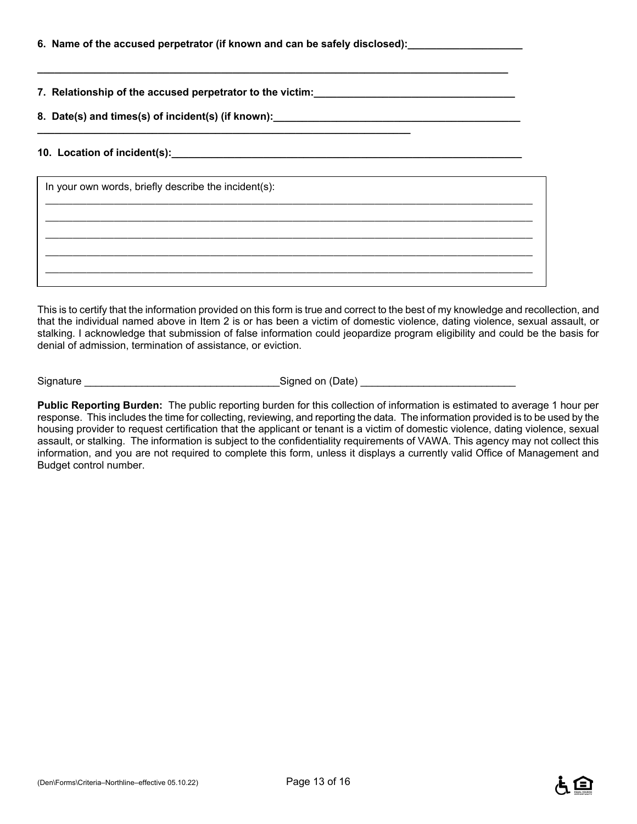| 6. Name of the accused perpetrator (if known and can be safely disclosed):_ |  |  |
|-----------------------------------------------------------------------------|--|--|
|                                                                             |  |  |

**7. Relationship of the accused perpetrator to the victim:\_\_\_\_\_\_\_\_\_\_\_\_\_\_\_\_\_\_\_\_\_\_\_\_\_\_\_\_\_\_\_\_\_\_\_** 

**8. Date(s) and times(s) of incident(s) (if known):\_\_\_\_\_\_\_\_\_\_\_\_\_\_\_\_\_\_\_\_\_\_\_\_\_\_\_\_\_\_\_\_\_\_\_\_\_\_\_\_\_\_\_ \_\_\_\_\_\_\_\_\_\_\_\_\_\_\_\_\_\_\_\_\_\_\_\_\_\_\_\_\_\_\_\_\_\_\_\_\_\_\_\_\_\_\_\_\_\_\_\_\_\_\_\_\_\_\_\_\_\_\_\_\_\_\_\_\_** 

**\_\_\_\_\_\_\_\_\_\_\_\_\_\_\_\_\_\_\_\_\_\_\_\_\_\_\_\_\_\_\_\_\_\_\_\_\_\_\_\_\_\_\_\_\_\_\_\_\_\_\_\_\_\_\_\_\_\_\_\_\_\_\_\_\_\_\_\_\_\_\_\_\_\_\_\_\_\_\_\_\_\_** 

#### **10. Location of incident(s):\_\_\_\_\_\_\_\_\_\_\_\_\_\_\_\_\_\_\_\_\_\_\_\_\_\_\_\_\_\_\_\_\_\_\_\_\_\_\_\_\_\_\_\_\_\_\_\_\_\_\_\_\_\_\_\_\_\_\_\_\_**

| In your own words, briefly describe the incident(s): |  |  |  |  |  |
|------------------------------------------------------|--|--|--|--|--|
|                                                      |  |  |  |  |  |
|                                                      |  |  |  |  |  |
|                                                      |  |  |  |  |  |
|                                                      |  |  |  |  |  |

This is to certify that the information provided on this form is true and correct to the best of my knowledge and recollection, and that the individual named above in Item 2 is or has been a victim of domestic violence, dating violence, sexual assault, or stalking. I acknowledge that submission of false information could jeopardize program eligibility and could be the basis for denial of admission, termination of assistance, or eviction.

Signature \_\_\_\_\_\_\_\_\_\_\_\_\_\_\_\_\_\_\_\_\_\_\_\_\_\_\_\_\_\_\_\_\_\_Signed on (Date) \_\_\_\_\_\_\_\_\_\_\_\_\_\_\_\_\_\_\_\_\_\_\_\_\_\_\_

**Public Reporting Burden:** The public reporting burden for this collection of information is estimated to average 1 hour per response. This includes the time for collecting, reviewing, and reporting the data. The information provided is to be used by the housing provider to request certification that the applicant or tenant is a victim of domestic violence, dating violence, sexual assault, or stalking. The information is subject to the confidentiality requirements of VAWA. This agency may not collect this information, and you are not required to complete this form, unless it displays a currently valid Office of Management and Budget control number.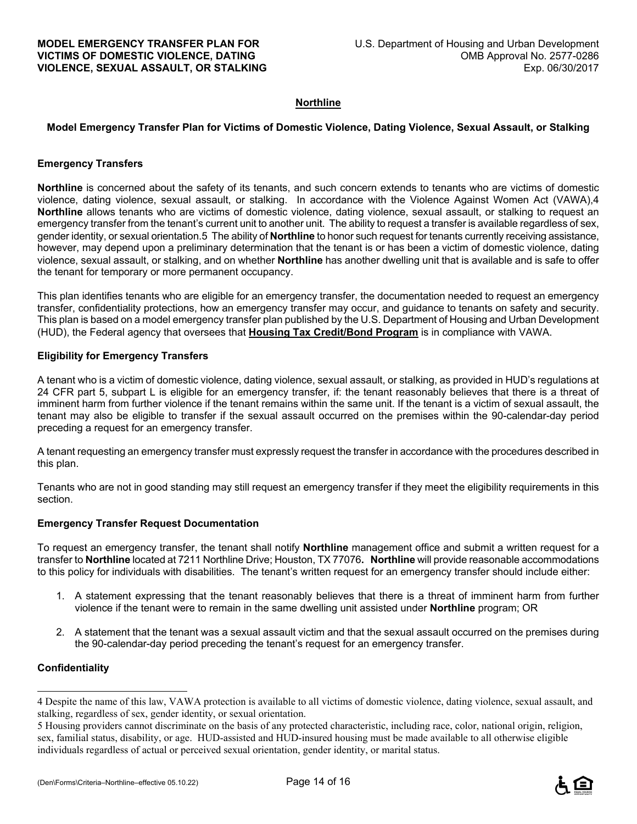#### **Northline**

#### **Model Emergency Transfer Plan for Victims of Domestic Violence, Dating Violence, Sexual Assault, or Stalking**

#### **Emergency Transfers**

**Northline** is concerned about the safety of its tenants, and such concern extends to tenants who are victims of domestic violence, dating violence, sexual assault, or stalking. In accordance with the Violence Against Women Act (VAWA),4 **Northline** allows tenants who are victims of domestic violence, dating violence, sexual assault, or stalking to request an emergency transfer from the tenant's current unit to another unit. The ability to request a transfer is available regardless of sex, gender identity, or sexual orientation.5 The ability of **Northline** to honor such request for tenants currently receiving assistance, however, may depend upon a preliminary determination that the tenant is or has been a victim of domestic violence, dating violence, sexual assault, or stalking, and on whether **Northline** has another dwelling unit that is available and is safe to offer the tenant for temporary or more permanent occupancy.

This plan identifies tenants who are eligible for an emergency transfer, the documentation needed to request an emergency transfer, confidentiality protections, how an emergency transfer may occur, and guidance to tenants on safety and security. This plan is based on a model emergency transfer plan published by the U.S. Department of Housing and Urban Development (HUD), the Federal agency that oversees that **Housing Tax Credit/Bond Program** is in compliance with VAWA.

#### **Eligibility for Emergency Transfers**

A tenant who is a victim of domestic violence, dating violence, sexual assault, or stalking, as provided in HUD's regulations at 24 CFR part 5, subpart L is eligible for an emergency transfer, if: the tenant reasonably believes that there is a threat of imminent harm from further violence if the tenant remains within the same unit. If the tenant is a victim of sexual assault, the tenant may also be eligible to transfer if the sexual assault occurred on the premises within the 90-calendar-day period preceding a request for an emergency transfer.

A tenant requesting an emergency transfer must expressly request the transfer in accordance with the procedures described in this plan.

Tenants who are not in good standing may still request an emergency transfer if they meet the eligibility requirements in this section.

#### **Emergency Transfer Request Documentation**

To request an emergency transfer, the tenant shall notify **Northline** management office and submit a written request for a transfer to **Northline** located at 7211 Northline Drive; Houston, TX 77076**. Northline** will provide reasonable accommodations to this policy for individuals with disabilities. The tenant's written request for an emergency transfer should include either:

- 1. A statement expressing that the tenant reasonably believes that there is a threat of imminent harm from further violence if the tenant were to remain in the same dwelling unit assisted under **Northline** program; OR
- 2. A statement that the tenant was a sexual assault victim and that the sexual assault occurred on the premises during the 90-calendar-day period preceding the tenant's request for an emergency transfer.

#### **Confidentiality**

i<br>L



<sup>4</sup> Despite the name of this law, VAWA protection is available to all victims of domestic violence, dating violence, sexual assault, and stalking, regardless of sex, gender identity, or sexual orientation.

<sup>5</sup> Housing providers cannot discriminate on the basis of any protected characteristic, including race, color, national origin, religion, sex, familial status, disability, or age. HUD-assisted and HUD-insured housing must be made available to all otherwise eligible individuals regardless of actual or perceived sexual orientation, gender identity, or marital status.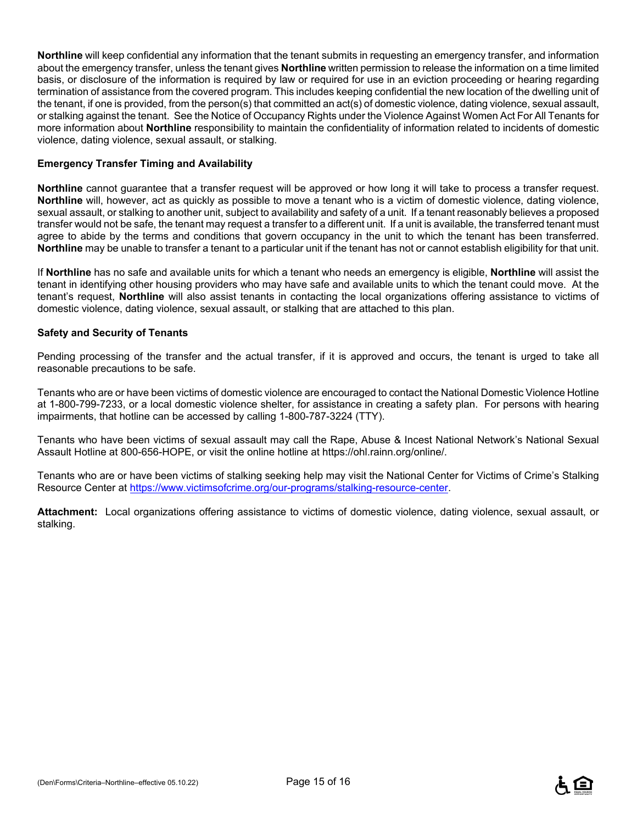**Northline** will keep confidential any information that the tenant submits in requesting an emergency transfer, and information about the emergency transfer, unless the tenant gives **Northline** written permission to release the information on a time limited basis, or disclosure of the information is required by law or required for use in an eviction proceeding or hearing regarding termination of assistance from the covered program. This includes keeping confidential the new location of the dwelling unit of the tenant, if one is provided, from the person(s) that committed an act(s) of domestic violence, dating violence, sexual assault, or stalking against the tenant. See the Notice of Occupancy Rights under the Violence Against Women Act For All Tenants for more information about **Northline** responsibility to maintain the confidentiality of information related to incidents of domestic violence, dating violence, sexual assault, or stalking.

#### **Emergency Transfer Timing and Availability**

**Northline** cannot guarantee that a transfer request will be approved or how long it will take to process a transfer request. **Northline** will, however, act as quickly as possible to move a tenant who is a victim of domestic violence, dating violence, sexual assault, or stalking to another unit, subject to availability and safety of a unit. If a tenant reasonably believes a proposed transfer would not be safe, the tenant may request a transfer to a different unit. If a unit is available, the transferred tenant must agree to abide by the terms and conditions that govern occupancy in the unit to which the tenant has been transferred. **Northline** may be unable to transfer a tenant to a particular unit if the tenant has not or cannot establish eligibility for that unit.

If **Northline** has no safe and available units for which a tenant who needs an emergency is eligible, **Northline** will assist the tenant in identifying other housing providers who may have safe and available units to which the tenant could move. At the tenant's request, **Northline** will also assist tenants in contacting the local organizations offering assistance to victims of domestic violence, dating violence, sexual assault, or stalking that are attached to this plan.

#### **Safety and Security of Tenants**

Pending processing of the transfer and the actual transfer, if it is approved and occurs, the tenant is urged to take all reasonable precautions to be safe.

Tenants who are or have been victims of domestic violence are encouraged to contact the National Domestic Violence Hotline at 1-800-799-7233, or a local domestic violence shelter, for assistance in creating a safety plan. For persons with hearing impairments, that hotline can be accessed by calling 1-800-787-3224 (TTY).

Tenants who have been victims of sexual assault may call the Rape, Abuse & Incest National Network's National Sexual Assault Hotline at 800-656-HOPE, or visit the online hotline at https://ohl.rainn.org/online/.

Tenants who are or have been victims of stalking seeking help may visit the National Center for Victims of Crime's Stalking Resource Center at https://www.victimsofcrime.org/our-programs/stalking-resource-center.

**Attachment:** Local organizations offering assistance to victims of domestic violence, dating violence, sexual assault, or stalking.